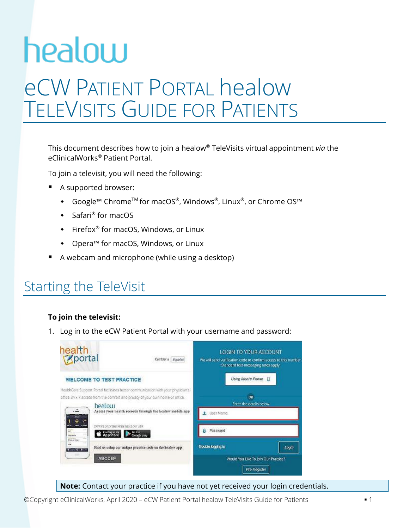# healow eCW PATIENT PORTAL healow TELEVISITS GUIDE FOR PATIENTS

This document describes how to join a healow® TeleVisits virtual appointment *via* the eClinicalWorks® Patient Portal.

To join a televisit, you will need the following:

- A supported browser:
	- Google™ Chrome™ for macOS®, Windows®, Linux®, or Chrome OS™
	- ◆ Safari® for macOS
	- $\bullet$  Firefox<sup>®</sup> for macOS, Windows, or Linux
	- Opera™ for macOS, Windows, or Linux
- A webcam and microphone (while using a desktop)

### Starting the TeleVisit

#### **To join the televisit:**

1. Log in to the eCW Patient Portal with your username and password:



#### **Note:** Contact your practice if you have not yet received your login credentials.

©Copyright eClinicalWorks, April 2020 – eCW Patient Portal healow TeleVisits Guide for Patients ▪ 1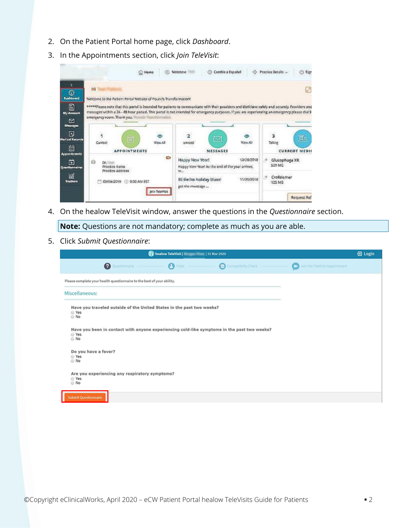- 2. On the Patient Portal home page, click *Dashboard*.
- 3. In the Appointments section, click *Join TeleVisit*:

| œ<br>Home<br>m                                                                                                                                                                                                                                                                                                                                 | <b>EB</b> Camble a Español<br>凸<br>Welcome                                                           | (b) Sign<br>Practice Details                    |
|------------------------------------------------------------------------------------------------------------------------------------------------------------------------------------------------------------------------------------------------------------------------------------------------------------------------------------------------|------------------------------------------------------------------------------------------------------|-------------------------------------------------|
| H<br>Dashboard<br>Welcome to the Patient Portal Website of Pounds Transformation!                                                                                                                                                                                                                                                              |                                                                                                      | k,                                              |
| ***** Please note that this portal is intended for patients to communicate with their providers and dieticians safely and securely. Providers and<br>messages within a 24 - 48 hour period. This portal is not intended for emergency purposes. If you are experiencing an emergency please dial 9<br>My Account<br>emergency room. Thonk you, |                                                                                                      |                                                 |
| Messages<br>œ<br>ග<br>Ë<br><b>Medical Records</b><br>Current<br><b>View All</b>                                                                                                                                                                                                                                                                | ٠<br>M<br>Wew All<br>unread                                                                          | 3<br>Fis,<br>Taking                             |
| <b>APPOINTMENTS</b><br>Appointments<br><b>COL</b><br>É3<br>Dr.<br>Practice Itame<br>Questionnaires<br>Practice Address                                                                                                                                                                                                                         | MESSAGES<br>12/18/2018<br>Happy New Year!<br>Happy Now Yearl As the end of the year arrives,<br>Was. | <b>CURRENT MEDIC</b><br>Glucophage XR<br>SOO MG |
| 03/06/2019 3:00 AM EST<br>Join TeleVisit                                                                                                                                                                                                                                                                                                       | RE:Re:No holiday blues!<br>11/30/2018<br>got the mwssage                                             | Crofelemer<br>×,<br>125 MG<br>Request Ref       |

4. On the healow TeleVisit window, answer the questions in the *Questionnaire* section.

**Note:** Questions are not mandatory; complete as much as you are able.

5. Click *Submit Questionnaire*:

|                                                                                                              |                                     | <b>B</b> Login |  |  |  |
|--------------------------------------------------------------------------------------------------------------|-------------------------------------|----------------|--|--|--|
| ◙<br><b>B</b> Vitals<br>Compatibility Check<br>Questionnaire                                                 | Join the TeleVisit Appointment<br>o |                |  |  |  |
| Please complete your health questionnaire to the best of your ability.                                       |                                     |                |  |  |  |
| Miscellaneous:                                                                                               |                                     |                |  |  |  |
| Have you traveled outside of the United States in the past two weeks?<br>@ Yes<br>⊜ No                       |                                     |                |  |  |  |
| Have you been in contact with anyone experiencing cold-like symptoms in the past two weeks?<br>◎ Yes<br>⊕ No |                                     |                |  |  |  |
| Do you have a fever?<br>⊜ Yes<br>⊜ No                                                                        |                                     |                |  |  |  |
| Are you experiencing any respiratory symptoms?<br>□ Yes<br>⊜ No                                              |                                     |                |  |  |  |
| <b>Submit Questionnaire</b>                                                                                  |                                     |                |  |  |  |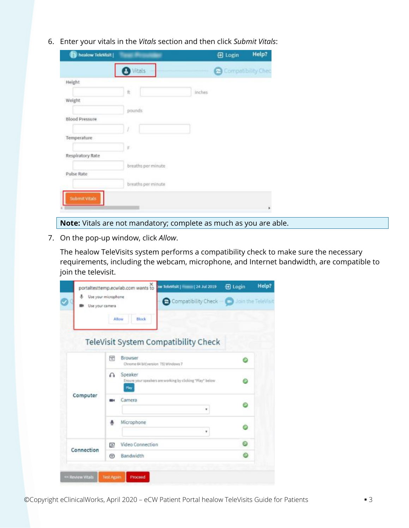6. Enter your vitals in the *Vitals* section and then click *Submit Vitals*:

| healow TeleVisit      |                    |        | 日 Login            | Help? |
|-----------------------|--------------------|--------|--------------------|-------|
|                       | <b>O</b> Vitals    |        | Compatibility Chec |       |
| Height                |                    |        |                    |       |
|                       | íť                 | inches |                    |       |
| Weight                |                    |        |                    |       |
|                       | pounds             |        |                    |       |
| <b>Blood Pressure</b> |                    |        |                    |       |
|                       | Ì                  |        |                    |       |
| Temperature           |                    |        |                    |       |
|                       | E.                 |        |                    |       |
| Respiratory Rate      |                    |        |                    |       |
|                       | breaths per minute |        |                    |       |
| Pulse Rate            |                    |        |                    |       |
|                       | breaths per minute |        |                    |       |
| Submit Vitals         |                    |        |                    |       |
|                       |                    |        |                    |       |
|                       |                    |        |                    |       |

- **Note:** Vitals are not mandatory; complete as much as you are able.
- 7. On the pop-up window, click *Allow*.

The healow TeleVisits system performs a compatibility check to make sure the necessary requirements, including the webcam, microphone, and Internet bandwidth, are compatible to join the televisit.

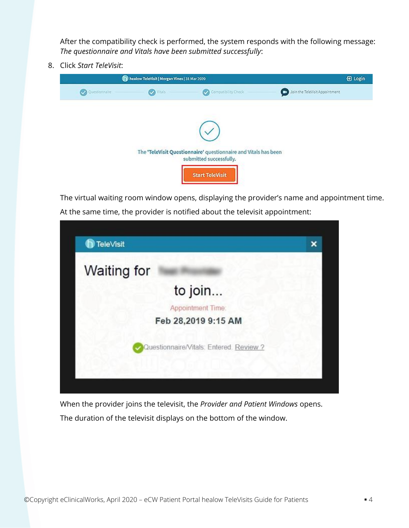After the compatibility check is performed, the system responds with the following message: *The questionnaire and Vitals have been submitted successfully*:

8. Click *Start TeleVisit*:



The virtual waiting room window opens, displaying the provider's name and appointment time. At the same time, the provider is notified about the televisit appointment:



When the provider joins the televisit, the *Provider and Patient Windows* opens. The duration of the televisit displays on the bottom of the window.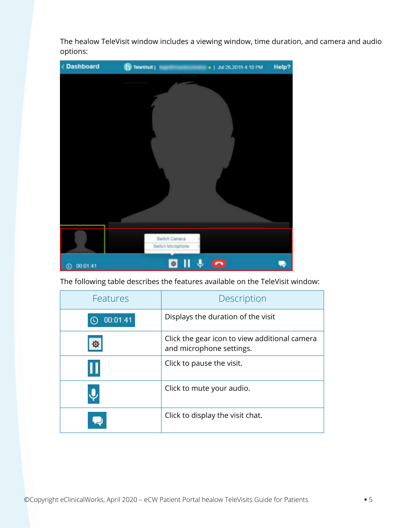The healow TeleVisit window includes a viewing window, time duration, and camera and audio options:



The following table describes the features available on the TeleVisit window:

| Features | Description                                                               |
|----------|---------------------------------------------------------------------------|
| 00:01:41 | Displays the duration of the visit                                        |
|          | Click the gear icon to view additional camera<br>and microphone settings. |
|          | Click to pause the visit.                                                 |
|          | Click to mute your audio.                                                 |
|          | Click to display the visit chat.                                          |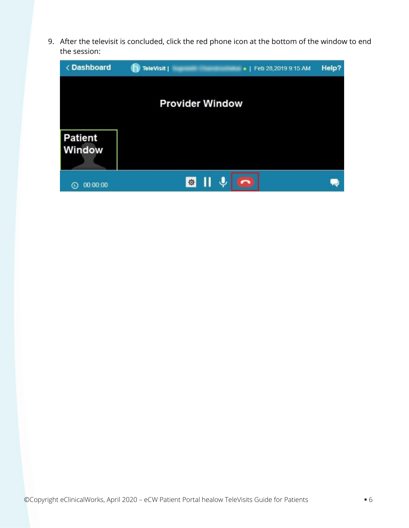9. After the televisit is concluded, click the red phone icon at the bottom of the window to end the session:

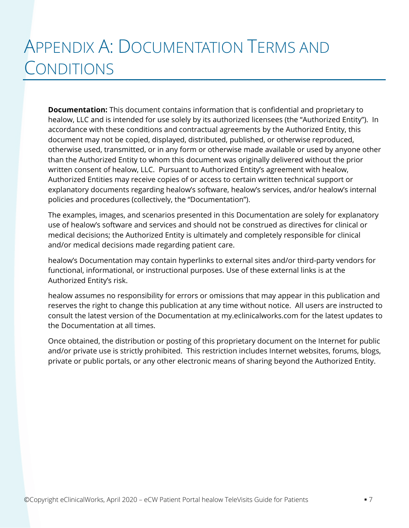# APPENDIX A: DOCUMENTATION TERMS AND **CONDITIONS**

**Documentation:** This document contains information that is confidential and proprietary to healow, LLC and is intended for use solely by its authorized licensees (the "Authorized Entity"). In accordance with these conditions and contractual agreements by the Authorized Entity, this document may not be copied, displayed, distributed, published, or otherwise reproduced, otherwise used, transmitted, or in any form or otherwise made available or used by anyone other than the Authorized Entity to whom this document was originally delivered without the prior written consent of healow, LLC. Pursuant to Authorized Entity's agreement with healow, Authorized Entities may receive copies of or access to certain written technical support or explanatory documents regarding healow's software, healow's services, and/or healow's internal policies and procedures (collectively, the "Documentation").

The examples, images, and scenarios presented in this Documentation are solely for explanatory use of healow's software and services and should not be construed as directives for clinical or medical decisions; the Authorized Entity is ultimately and completely responsible for clinical and/or medical decisions made regarding patient care.

healow's Documentation may contain hyperlinks to external sites and/or third-party vendors for functional, informational, or instructional purposes. Use of these external links is at the Authorized Entity's risk.

healow assumes no responsibility for errors or omissions that may appear in this publication and reserves the right to change this publication at any time without notice. All users are instructed to consult the latest version of the Documentation at my.eclinicalworks.com for the latest updates to the Documentation at all times.

Once obtained, the distribution or posting of this proprietary document on the Internet for public and/or private use is strictly prohibited. This restriction includes Internet websites, forums, blogs, private or public portals, or any other electronic means of sharing beyond the Authorized Entity.